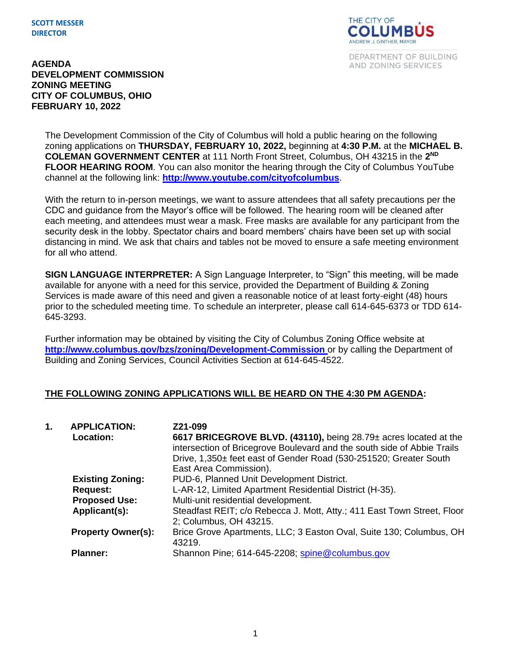#### **SCOTT MESSER DIRECTOR**



DEPARTMENT OF BUILDING AND ZONING SERVICES

#### **AGENDA DEVELOPMENT COMMISSION ZONING MEETING CITY OF COLUMBUS, OHIO FEBRUARY 10, 2022**

The Development Commission of the City of Columbus will hold a public hearing on the following zoning applications on **THURSDAY, FEBRUARY 10, 2022,** beginning at **4:30 P.M.** at the **MICHAEL B. COLEMAN GOVERNMENT CENTER** at 111 North Front Street, Columbus, OH 43215 in the **2 ND FLOOR HEARING ROOM**. You can also monitor the hearing through the City of Columbus YouTube channel at the following link: **<http://www.youtube.com/cityofcolumbus>**.

With the return to in-person meetings, we want to assure attendees that all safety precautions per the CDC and guidance from the Mayor's office will be followed. The hearing room will be cleaned after each meeting, and attendees must wear a mask. Free masks are available for any participant from the security desk in the lobby. Spectator chairs and board members' chairs have been set up with social distancing in mind. We ask that chairs and tables not be moved to ensure a safe meeting environment for all who attend.

**SIGN LANGUAGE INTERPRETER:** A Sign Language Interpreter, to "Sign" this meeting, will be made available for anyone with a need for this service, provided the Department of Building & Zoning Services is made aware of this need and given a reasonable notice of at least forty-eight (48) hours prior to the scheduled meeting time. To schedule an interpreter, please call 614-645-6373 or TDD 614- 645-3293.

Further information may be obtained by visiting the City of Columbus Zoning Office website at **http://www.columbus.gov/bzs/zoning/Development-Commission** or by calling the Department of Building and Zoning Services, Council Activities Section at 614-645-4522.

### **THE FOLLOWING ZONING APPLICATIONS WILL BE HEARD ON THE 4:30 PM AGENDA:**

| 1. | <b>APPLICATION:</b>       | Z21-099                                                                                                                                                                                                          |
|----|---------------------------|------------------------------------------------------------------------------------------------------------------------------------------------------------------------------------------------------------------|
|    | <b>Location:</b>          | 6617 BRICEGROVE BLVD. (43110), being 28.79± acres located at the<br>intersection of Bricegrove Boulevard and the south side of Abbie Trails<br>Drive, 1,350± feet east of Gender Road (530-251520; Greater South |
|    |                           | East Area Commission).                                                                                                                                                                                           |
|    | <b>Existing Zoning:</b>   | PUD-6, Planned Unit Development District.                                                                                                                                                                        |
|    | <b>Request:</b>           | L-AR-12, Limited Apartment Residential District (H-35).                                                                                                                                                          |
|    | <b>Proposed Use:</b>      | Multi-unit residential development.                                                                                                                                                                              |
|    | Applicant(s):             | Steadfast REIT; c/o Rebecca J. Mott, Atty.; 411 East Town Street, Floor<br>2; Columbus, OH 43215.                                                                                                                |
|    | <b>Property Owner(s):</b> | Brice Grove Apartments, LLC; 3 Easton Oval, Suite 130; Columbus, OH<br>43219.                                                                                                                                    |
|    | Planner:                  | Shannon Pine; 614-645-2208; spine@columbus.gov                                                                                                                                                                   |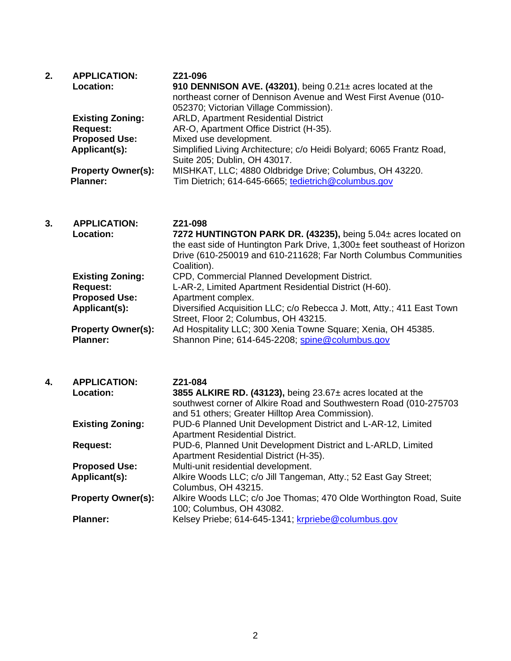| 2. | <b>APPLICATION:</b><br>Location:             | Z21-096<br>910 DENNISON AVE. (43201), being 0.21± acres located at the<br>northeast corner of Dennison Avenue and West First Avenue (010-<br>052370; Victorian Village Commission). |
|----|----------------------------------------------|-------------------------------------------------------------------------------------------------------------------------------------------------------------------------------------|
|    | <b>Existing Zoning:</b>                      | <b>ARLD, Apartment Residential District</b>                                                                                                                                         |
|    | <b>Request:</b>                              | AR-O, Apartment Office District (H-35).                                                                                                                                             |
|    | <b>Proposed Use:</b>                         | Mixed use development.                                                                                                                                                              |
|    | Applicant(s):                                | Simplified Living Architecture; c/o Heidi Bolyard; 6065 Frantz Road,<br>Suite 205; Dublin, OH 43017.                                                                                |
|    | <b>Property Owner(s):</b><br><b>Planner:</b> | MISHKAT, LLC; 4880 Oldbridge Drive; Columbus, OH 43220.<br>Tim Dietrich; 614-645-6665; tedietrich@columbus.gov                                                                      |

| 3. | <b>APPLICATION:</b>       | Z21-098                                                                  |
|----|---------------------------|--------------------------------------------------------------------------|
|    | <b>Location:</b>          | 7272 HUNTINGTON PARK DR. (43235), being 5.04± acres located on           |
|    |                           | the east side of Huntington Park Drive, 1,300± feet southeast of Horizon |
|    |                           | Drive (610-250019 and 610-211628; Far North Columbus Communities         |
|    |                           | Coalition).                                                              |
|    | <b>Existing Zoning:</b>   | CPD, Commercial Planned Development District.                            |
|    | <b>Request:</b>           | L-AR-2, Limited Apartment Residential District (H-60).                   |
|    | <b>Proposed Use:</b>      | Apartment complex.                                                       |
|    | Applicant(s):             | Diversified Acquisition LLC; c/o Rebecca J. Mott, Atty.; 411 East Town   |
|    |                           | Street, Floor 2; Columbus, OH 43215.                                     |
|    | <b>Property Owner(s):</b> | Ad Hospitality LLC; 300 Xenia Towne Square; Xenia, OH 45385.             |
|    | <b>Planner:</b>           | Shannon Pine; 614-645-2208; spine@columbus.gov                           |

| 4. | <b>APPLICATION:</b><br><b>Location:</b> | Z21-084<br>3855 ALKIRE RD. (43123), being $23.67\pm$ acres located at the<br>southwest corner of Alkire Road and Southwestern Road (010-275703<br>and 51 others; Greater Hilltop Area Commission). |
|----|-----------------------------------------|----------------------------------------------------------------------------------------------------------------------------------------------------------------------------------------------------|
|    | <b>Existing Zoning:</b>                 | PUD-6 Planned Unit Development District and L-AR-12, Limited<br><b>Apartment Residential District.</b>                                                                                             |
|    | <b>Request:</b>                         | PUD-6, Planned Unit Development District and L-ARLD, Limited<br>Apartment Residential District (H-35).                                                                                             |
|    | <b>Proposed Use:</b>                    | Multi-unit residential development.                                                                                                                                                                |
|    | Applicant(s):                           | Alkire Woods LLC; c/o Jill Tangeman, Atty.; 52 East Gay Street;<br>Columbus, OH 43215.                                                                                                             |
|    | <b>Property Owner(s):</b>               | Alkire Woods LLC; c/o Joe Thomas; 470 Olde Worthington Road, Suite<br>100; Columbus, OH 43082.                                                                                                     |
|    | <b>Planner:</b>                         | Kelsey Priebe; 614-645-1341; krpriebe@columbus.gov                                                                                                                                                 |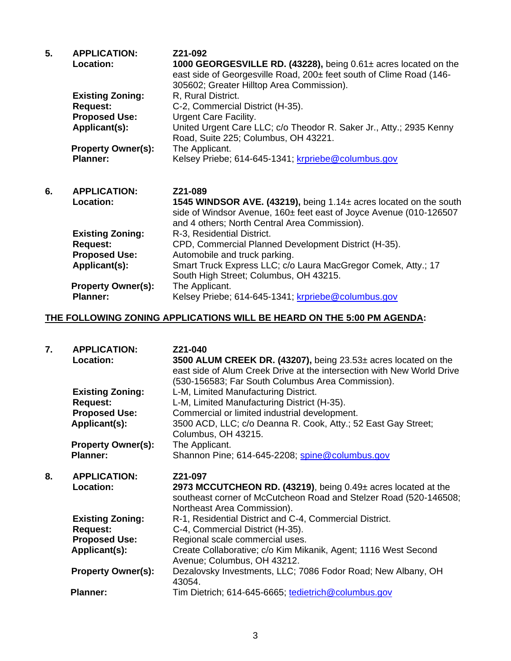| 5. | <b>APPLICATION:</b>       | Z21-092                                                                                                                                                                                  |
|----|---------------------------|------------------------------------------------------------------------------------------------------------------------------------------------------------------------------------------|
|    | <b>Location:</b>          | 1000 GEORGESVILLE RD. (43228), being $0.61\pm$ acres located on the<br>east side of Georgesville Road, 200± feet south of Clime Road (146-<br>305602; Greater Hilltop Area Commission).  |
|    | <b>Existing Zoning:</b>   | R, Rural District.                                                                                                                                                                       |
|    | <b>Request:</b>           | C-2, Commercial District (H-35).                                                                                                                                                         |
|    | <b>Proposed Use:</b>      | <b>Urgent Care Facility.</b>                                                                                                                                                             |
|    | Applicant(s):             | United Urgent Care LLC; c/o Theodor R. Saker Jr., Atty.; 2935 Kenny<br>Road, Suite 225; Columbus, OH 43221.                                                                              |
|    | <b>Property Owner(s):</b> | The Applicant.                                                                                                                                                                           |
|    | <b>Planner:</b>           | Kelsey Priebe; 614-645-1341; krpriebe@columbus.gov                                                                                                                                       |
| 6. | <b>APPLICATION:</b>       | Z21-089                                                                                                                                                                                  |
|    | Location:                 | 1545 WINDSOR AVE. (43219), being 1.14± acres located on the south<br>side of Windsor Avenue, 160± feet east of Joyce Avenue (010-126507<br>and 4 others; North Central Area Commission). |
|    | <b>Existing Zoning:</b>   | R-3, Residential District.                                                                                                                                                               |
|    | <b>Request:</b>           | CPD, Commercial Planned Development District (H-35).                                                                                                                                     |
|    | <b>Proposed Use:</b>      | Automobile and truck parking.                                                                                                                                                            |
|    | Applicant(s):             | Smart Truck Express LLC; c/o Laura MacGregor Comek, Atty.; 17<br>South High Street; Columbus, OH 43215.                                                                                  |
|    | <b>Property Owner(s):</b> | The Applicant.                                                                                                                                                                           |
|    | <b>Planner:</b>           | Kelsey Priebe; 614-645-1341; krpriebe@columbus.gov                                                                                                                                       |

## **THE FOLLOWING ZONING APPLICATIONS WILL BE HEARD ON THE 5:00 PM AGENDA:**

| 7. | <b>APPLICATION:</b><br>Location: | Z21-040<br>3500 ALUM CREEK DR. (43207), being 23.53± acres located on the<br>east side of Alum Creek Drive at the intersection with New World Drive<br>(530-156583; Far South Columbus Area Commission). |
|----|----------------------------------|----------------------------------------------------------------------------------------------------------------------------------------------------------------------------------------------------------|
|    | <b>Existing Zoning:</b>          | L-M, Limited Manufacturing District.                                                                                                                                                                     |
|    | <b>Request:</b>                  | L-M, Limited Manufacturing District (H-35).                                                                                                                                                              |
|    | <b>Proposed Use:</b>             | Commercial or limited industrial development.                                                                                                                                                            |
|    | Applicant(s):                    | 3500 ACD, LLC; c/o Deanna R. Cook, Atty.; 52 East Gay Street;<br>Columbus, OH 43215.                                                                                                                     |
|    | <b>Property Owner(s):</b>        | The Applicant.                                                                                                                                                                                           |
|    | <b>Planner:</b>                  | Shannon Pine; 614-645-2208; spine@columbus.gov                                                                                                                                                           |
|    |                                  |                                                                                                                                                                                                          |
| 8. | <b>APPLICATION:</b>              | Z21-097                                                                                                                                                                                                  |
|    | Location:                        | 2973 MCCUTCHEON RD. (43219), being 0.49± acres located at the<br>southeast corner of McCutcheon Road and Stelzer Road (520-146508;                                                                       |
|    | <b>Existing Zoning:</b>          | Northeast Area Commission).<br>R-1, Residential District and C-4, Commercial District.                                                                                                                   |
|    | <b>Request:</b>                  | C-4, Commercial District (H-35).                                                                                                                                                                         |
|    | <b>Proposed Use:</b>             | Regional scale commercial uses.                                                                                                                                                                          |
|    | Applicant(s):                    | Create Collaborative; c/o Kim Mikanik, Agent; 1116 West Second<br>Avenue; Columbus, OH 43212.                                                                                                            |
|    | <b>Property Owner(s):</b>        | Dezalovsky Investments, LLC; 7086 Fodor Road; New Albany, OH<br>43054.                                                                                                                                   |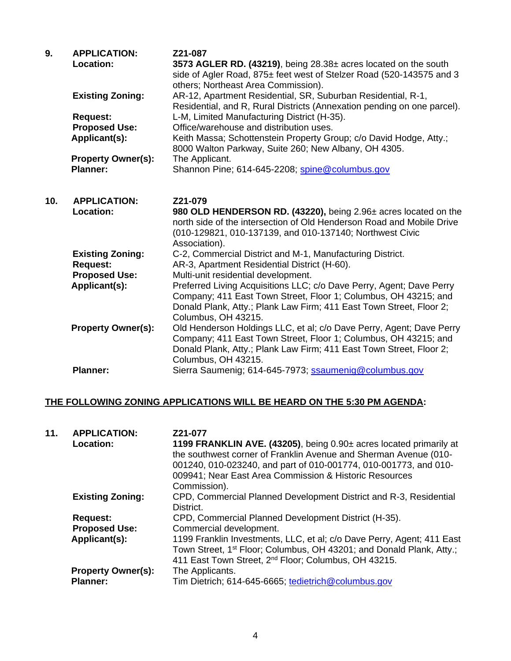| 9.  | <b>APPLICATION:</b><br>Location: | Z21-087<br>3573 AGLER RD. (43219), being 28.38± acres located on the south<br>side of Agler Road, 875± feet west of Stelzer Road (520-143575 and 3<br>others; Northeast Area Commission).                                             |
|-----|----------------------------------|---------------------------------------------------------------------------------------------------------------------------------------------------------------------------------------------------------------------------------------|
|     | <b>Existing Zoning:</b>          | AR-12, Apartment Residential, SR, Suburban Residential, R-1,<br>Residential, and R, Rural Districts (Annexation pending on one parcel).                                                                                               |
|     | <b>Request:</b>                  | L-M, Limited Manufacturing District (H-35).                                                                                                                                                                                           |
|     | <b>Proposed Use:</b>             | Office/warehouse and distribution uses.                                                                                                                                                                                               |
|     | Applicant(s):                    | Keith Massa; Schottenstein Property Group; c/o David Hodge, Atty.;<br>8000 Walton Parkway, Suite 260; New Albany, OH 4305.                                                                                                            |
|     | <b>Property Owner(s):</b>        | The Applicant.                                                                                                                                                                                                                        |
|     | <b>Planner:</b>                  | Shannon Pine; 614-645-2208; spine@columbus.gov                                                                                                                                                                                        |
|     |                                  |                                                                                                                                                                                                                                       |
| 10. | <b>APPLICATION:</b>              | Z21-079                                                                                                                                                                                                                               |
|     | Location:                        | 980 OLD HENDERSON RD. (43220), being 2.96± acres located on the<br>north side of the intersection of Old Henderson Road and Mobile Drive<br>(010-129821, 010-137139, and 010-137140; Northwest Civic<br>Association).                 |
|     | <b>Existing Zoning:</b>          | C-2, Commercial District and M-1, Manufacturing District.                                                                                                                                                                             |
|     | <b>Request:</b>                  | AR-3, Apartment Residential District (H-60).                                                                                                                                                                                          |
|     | <b>Proposed Use:</b>             | Multi-unit residential development.                                                                                                                                                                                                   |
|     | Applicant(s):                    | Preferred Living Acquisitions LLC; c/o Dave Perry, Agent; Dave Perry<br>Company; 411 East Town Street, Floor 1; Columbus, OH 43215; and<br>Donald Plank, Atty.; Plank Law Firm; 411 East Town Street, Floor 2;<br>Columbus, OH 43215. |
|     | <b>Property Owner(s):</b>        | Old Henderson Holdings LLC, et al; c/o Dave Perry, Agent; Dave Perry<br>Company; 411 East Town Street, Floor 1; Columbus, OH 43215; and<br>Donald Plank, Atty.; Plank Law Firm; 411 East Town Street, Floor 2;<br>Columbus, OH 43215. |
|     | <b>Planner:</b>                  | Sierra Saumenig; 614-645-7973; ssaumenig@columbus.gov                                                                                                                                                                                 |

# **THE FOLLOWING ZONING APPLICATIONS WILL BE HEARD ON THE 5:30 PM AGENDA:**

| 11. | <b>APPLICATION:</b><br>Location:             | Z21-077<br>1199 FRANKLIN AVE. (43205), being 0.90± acres located primarily at<br>the southwest corner of Franklin Avenue and Sherman Avenue (010-<br>001240, 010-023240, and part of 010-001774, 010-001773, and 010-<br>009941; Near East Area Commission & Historic Resources<br>Commission). |
|-----|----------------------------------------------|-------------------------------------------------------------------------------------------------------------------------------------------------------------------------------------------------------------------------------------------------------------------------------------------------|
|     | <b>Existing Zoning:</b>                      | CPD, Commercial Planned Development District and R-3, Residential<br>District.                                                                                                                                                                                                                  |
|     | <b>Request:</b>                              | CPD, Commercial Planned Development District (H-35).                                                                                                                                                                                                                                            |
|     | <b>Proposed Use:</b>                         | Commercial development.                                                                                                                                                                                                                                                                         |
|     | Applicant(s):                                | 1199 Franklin Investments, LLC, et al; c/o Dave Perry, Agent; 411 East<br>Town Street, 1 <sup>st</sup> Floor; Columbus, OH 43201; and Donald Plank, Atty.;<br>411 East Town Street, 2 <sup>nd</sup> Floor; Columbus, OH 43215.                                                                  |
|     | <b>Property Owner(s):</b><br><b>Planner:</b> | The Applicants.<br>Tim Dietrich; 614-645-6665; tedietrich@columbus.gov                                                                                                                                                                                                                          |